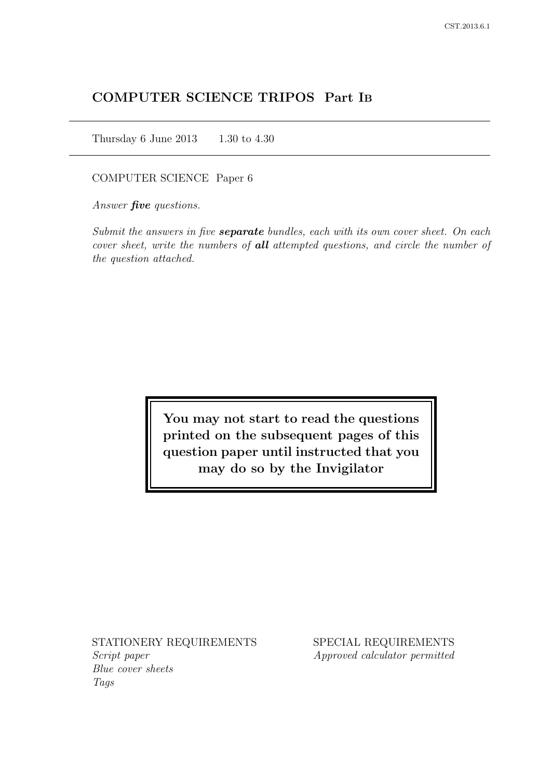# COMPUTER SCIENCE TRIPOS Part IB

Thursday 6 June 2013 1.30 to 4.30

COMPUTER SCIENCE Paper 6

Answer *five* questions.

Submit the answers in five **separate** bundles, each with its own cover sheet. On each cover sheet, write the numbers of **all** attempted questions, and circle the number of the question attached.

> You may not start to read the questions printed on the subsequent pages of this question paper until instructed that you may do so by the Invigilator

STATIONERY REQUIREMENTS Script paper Blue cover sheets

Tags

SPECIAL REQUIREMENTS Approved calculator permitted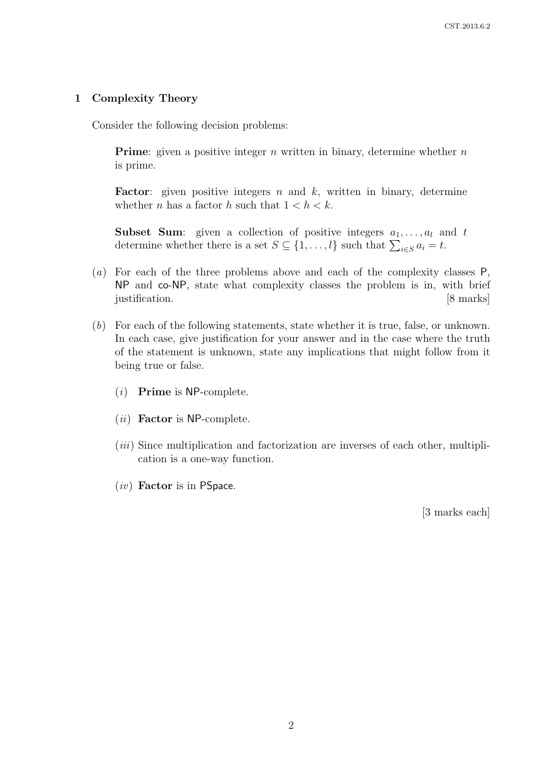### 1 Complexity Theory

Consider the following decision problems:

**Prime:** given a positive integer n written in binary, determine whether  $n$ is prime.

**Factor:** given positive integers  $n$  and  $k$ , written in binary, determine whether *n* has a factor *h* such that  $1 < h < k$ .

**Subset Sum:** given a collection of positive integers  $a_1, \ldots, a_l$  and t determine whether there is a set  $S \subseteq \{1, ..., l\}$  such that  $\sum_{i \in S} a_i = t$ .

- (a) For each of the three problems above and each of the complexity classes P, NP and co-NP, state what complexity classes the problem is in, with brief justification. [8 marks]
- (b) For each of the following statements, state whether it is true, false, or unknown. In each case, give justification for your answer and in the case where the truth of the statement is unknown, state any implications that might follow from it being true or false.
	- $(i)$  Prime is NP-complete.
	- $(ii)$  Factor is NP-complete.
	- $(iii)$  Since multiplication and factorization are inverses of each other, multiplication is a one-way function.
	- $(iv)$  Factor is in PSpace.

[3 marks each]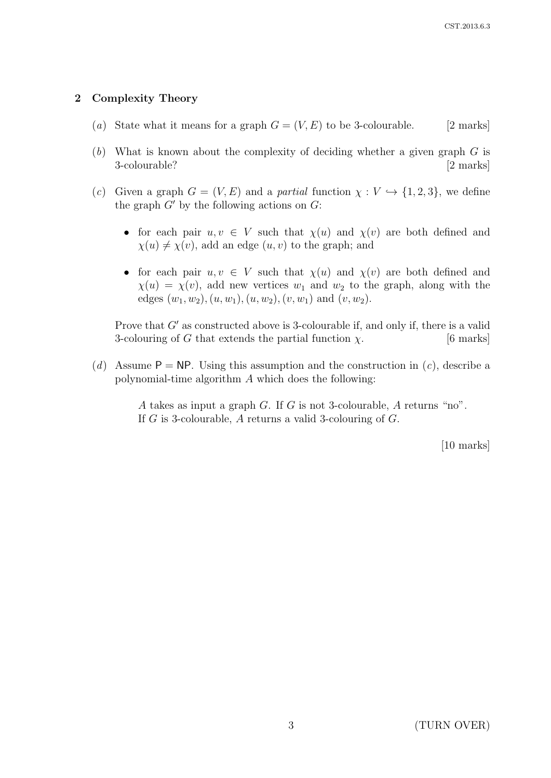# 2 Complexity Theory

- (a) State what it means for a graph  $G = (V, E)$  to be 3-colourable. [2 marks]
- (b) What is known about the complexity of deciding whether a given graph  $G$  is 3-colourable? [2 marks]
- (c) Given a graph  $G = (V, E)$  and a partial function  $\chi : V \hookrightarrow \{1, 2, 3\}$ , we define the graph  $G'$  by the following actions on  $G$ :
	- for each pair  $u, v \in V$  such that  $\chi(u)$  and  $\chi(v)$  are both defined and  $\chi(u) \neq \chi(v)$ , add an edge  $(u, v)$  to the graph; and
	- for each pair  $u, v \in V$  such that  $\chi(u)$  and  $\chi(v)$  are both defined and  $\chi(u) = \chi(v)$ , add new vertices  $w_1$  and  $w_2$  to the graph, along with the edges  $(w_1, w_2), (u, w_1), (u, w_2), (v, w_1)$  and  $(v, w_2)$ .

Prove that  $G'$  as constructed above is 3-colourable if, and only if, there is a valid 3-colouring of G that extends the partial function  $\chi$ . [6 marks]

(d) Assume  $P = NP$ . Using this assumption and the construction in (c), describe a polynomial-time algorithm A which does the following:

> A takes as input a graph G. If G is not 3-colourable, A returns "no". If G is 3-colourable, A returns a valid 3-colouring of G.

> > [10 marks]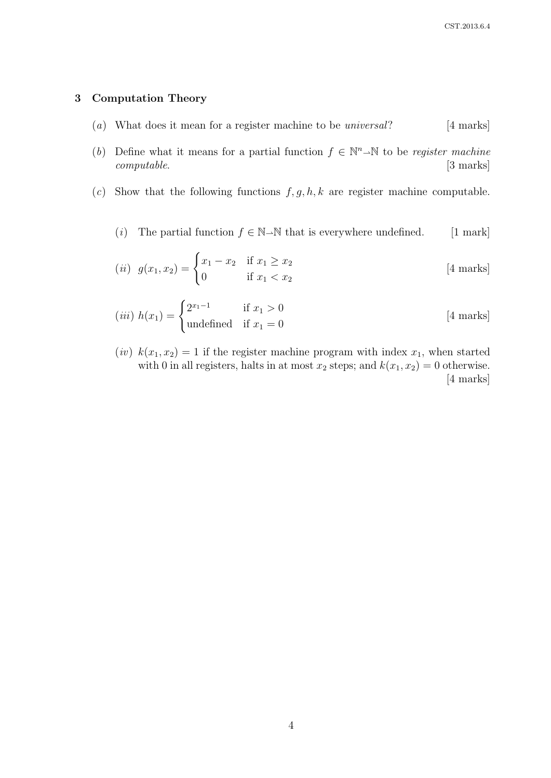### 3 Computation Theory

- (a) What does it mean for a register machine to be *universal*? [4 marks]
- (b) Define what it means for a partial function  $f \in \mathbb{N}^n \rightarrow \mathbb{N}$  to be register machine computable. [3 marks]
- (c) Show that the following functions  $f, g, h, k$  are register machine computable.
	- (i) The partial function  $f \in \mathbb{N} \rightarrow \mathbb{N}$  that is everywhere undefined. [1 mark]

(*ii*) 
$$
g(x_1, x_2) =\begin{cases} x_1 - x_2 & \text{if } x_1 \ge x_2 \\ 0 & \text{if } x_1 < x_2 \end{cases}
$$
 [4 marks]

$$
(iii) \; h(x_1) = \begin{cases} 2^{x_1 - 1} & \text{if } x_1 > 0 \\ \text{undefined} & \text{if } x_1 = 0 \end{cases} \tag{4 marks}
$$

(iv)  $k(x_1, x_2) = 1$  if the register machine program with index  $x_1$ , when started with 0 in all registers, halts in at most  $x_2$  steps; and  $k(x_1, x_2) = 0$  otherwise. [4 marks]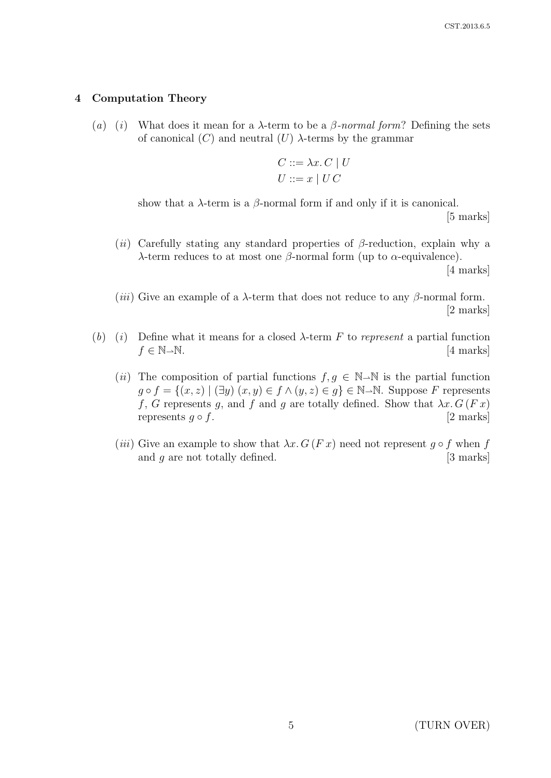### 4 Computation Theory

(a) (i) What does it mean for a  $\lambda$ -term to be a  $\beta$ -normal form? Defining the sets of canonical  $(C)$  and neutral  $(U)$   $\lambda$ -terms by the grammar

$$
C ::= \lambda x. C \mid U
$$

$$
U ::= x \mid U C
$$

show that a  $\lambda$ -term is a  $\beta$ -normal form if and only if it is canonical. [5 marks]

(ii) Carefully stating any standard properties of  $\beta$ -reduction, explain why a λ-term reduces to at most one  $β$ -normal form (up to  $α$ -equivalence).

[4 marks]

(*iii*) Give an example of a  $\lambda$ -term that does not reduce to any  $\beta$ -normal form. [2 marks]

- (b) (i) Define what it means for a closed  $\lambda$ -term F to represent a partial function  $f \in \mathbb{N} \rightarrow \mathbb{N}$ . [4 marks]
	- (ii) The composition of partial functions  $f, g \in \mathbb{N} \rightarrow \mathbb{N}$  is the partial function  $g \circ f = \{(x, z) \mid (\exists y) (x, y) \in f \land (y, z) \in g\} \in \mathbb{N} \text{--} \mathbb{N}$ . Suppose F represents f, G represents g, and f and g are totally defined. Show that  $\lambda x. G(Fx)$ represents  $g \circ f$ . [2 marks]
	- (iii) Give an example to show that  $\lambda x. G(Fx)$  need not represent  $g \circ f$  when f and  $g$  are not totally defined.  $[3 \text{ marks}]$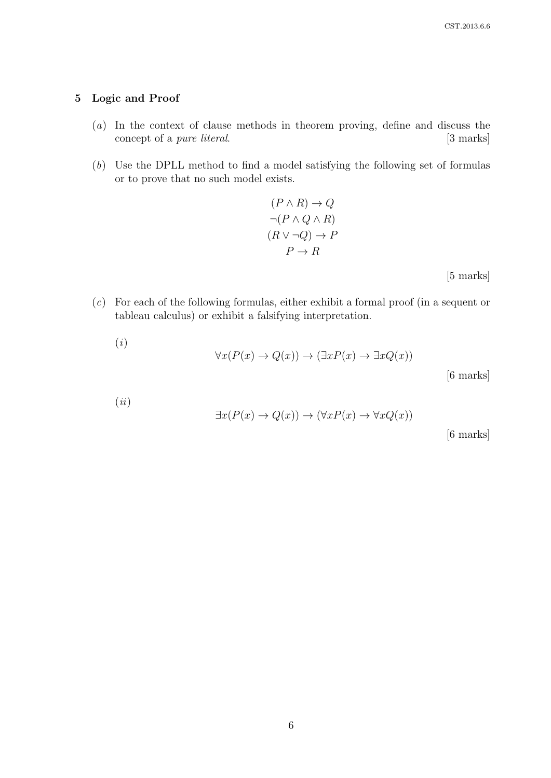## 5 Logic and Proof

- (a) In the context of clause methods in theorem proving, define and discuss the concept of a *pure literal*. [3 marks]
- (b) Use the DPLL method to find a model satisfying the following set of formulas or to prove that no such model exists.

$$
(P \land R) \to Q
$$

$$
\neg (P \land Q \land R)
$$

$$
(R \lor \neg Q) \to P
$$

$$
P \to R
$$

[5 marks]

(c) For each of the following formulas, either exhibit a formal proof (in a sequent or tableau calculus) or exhibit a falsifying interpretation.

$$
\forall x (P(x) \to Q(x)) \to (\exists x P(x) \to \exists x Q(x))
$$
 [6 marks]

$$
({\it ii})
$$

$$
\exists x (P(x) \to Q(x)) \to (\forall x P(x) \to \forall x Q(x))
$$

[6 marks]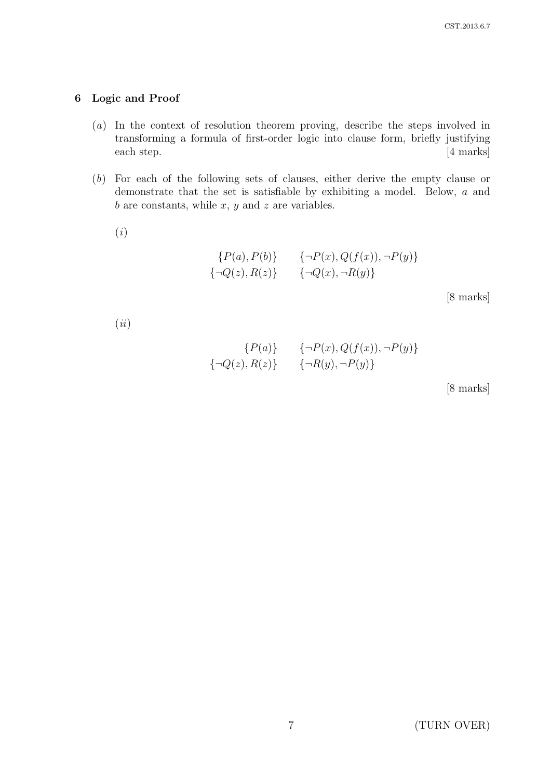## 6 Logic and Proof

- (a) In the context of resolution theorem proving, describe the steps involved in transforming a formula of first-order logic into clause form, briefly justifying each step. [4 marks]
- (b) For each of the following sets of clauses, either derive the empty clause or demonstrate that the set is satisfiable by exhibiting a model. Below, a and  $b$  are constants, while  $x, y$  and  $z$  are variables.
	- (i)

$$
{P(a), P(b)} \qquad {\neg P(x), Q(f(x)), \neg P(y)}\n{\neg Q(z), R(z)} \qquad {\neg Q(x), \neg R(y)}
$$

[8 marks]

 $(ii)$ 

$$
{P(a)} \qquad {\neg P(x), Q(f(x)), \neg P(y)}\n{\neg Q(z), R(z)} \qquad {\neg R(y), \neg P(y)}
$$

[8 marks]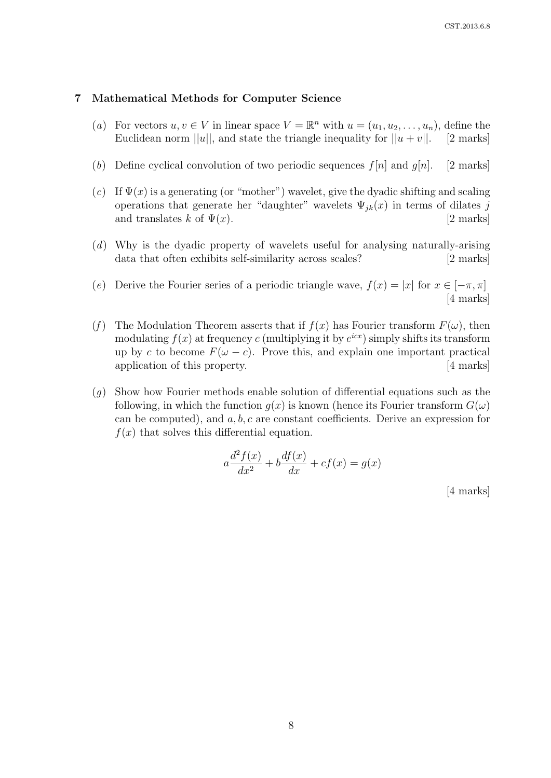#### 7 Mathematical Methods for Computer Science

- (a) For vectors  $u, v \in V$  in linear space  $V = \mathbb{R}^n$  with  $u = (u_1, u_2, \dots, u_n)$ , define the Euclidean norm  $||u||$ , and state the triangle inequality for  $||u + v||$ . [2 marks]
- (b) Define cyclical convolution of two periodic sequences  $f[n]$  and  $g[n]$ . [2 marks]
- (c) If  $\Psi(x)$  is a generating (or "mother") wavelet, give the dyadic shifting and scaling operations that generate her "daughter" wavelets  $\Psi_{jk}(x)$  in terms of dilates j and translates k of  $\Psi(x)$ . [2 marks]
- (d) Why is the dyadic property of wavelets useful for analysing naturally-arising data that often exhibits self-similarity across scales? [2 marks]
- (e) Derive the Fourier series of a periodic triangle wave,  $f(x) = |x|$  for  $x \in [-\pi, \pi]$ [4 marks]
- (f) The Modulation Theorem asserts that if  $f(x)$  has Fourier transform  $F(\omega)$ , then modulating  $f(x)$  at frequency c (multiplying it by  $e^{icx}$ ) simply shifts its transform up by c to become  $F(\omega - c)$ . Prove this, and explain one important practical application of this property. [4 marks]
- $(q)$  Show how Fourier methods enable solution of differential equations such as the following, in which the function  $g(x)$  is known (hence its Fourier transform  $G(\omega)$ can be computed), and  $a, b, c$  are constant coefficients. Derive an expression for  $f(x)$  that solves this differential equation.

$$
a\frac{d^2f(x)}{dx^2} + b\frac{df(x)}{dx} + cf(x) = g(x)
$$

[4 marks]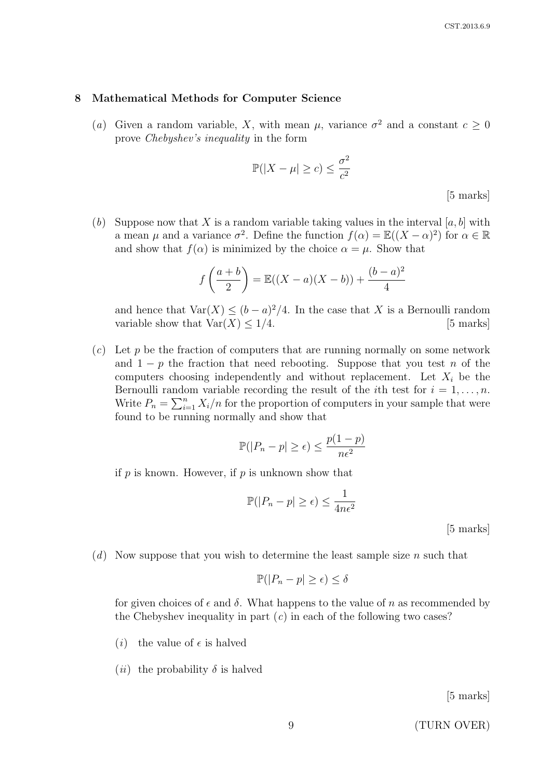#### 8 Mathematical Methods for Computer Science

(a) Given a random variable, X, with mean  $\mu$ , variance  $\sigma^2$  and a constant  $c \geq 0$ prove Chebyshev's inequality in the form

$$
\mathbb{P}(|X - \mu| \ge c) \le \frac{\sigma^2}{c^2}
$$

[5 marks]

(b) Suppose now that X is a random variable taking values in the interval  $[a, b]$  with a mean  $\mu$  and a variance  $\sigma^2$ . Define the function  $f(\alpha) = \mathbb{E}((X-\alpha)^2)$  for  $\alpha \in \mathbb{R}$ and show that  $f(\alpha)$  is minimized by the choice  $\alpha = \mu$ . Show that

$$
f\left(\frac{a+b}{2}\right) = \mathbb{E}((X-a)(X-b)) + \frac{(b-a)^2}{4}
$$

and hence that  $\text{Var}(X) \leq (b-a)^2/4$ . In the case that X is a Bernoulli random variable show that  $\text{Var}(X) \leq 1/4$ . [5 marks]

 $(c)$  Let p be the fraction of computers that are running normally on some network and  $1 - p$  the fraction that need rebooting. Suppose that you test n of the computers choosing independently and without replacement. Let  $X_i$  be the Bernoulli random variable recording the result of the *i*th test for  $i = 1, \ldots, n$ . Write  $P_n = \sum_{i=1}^n X_i/n$  for the proportion of computers in your sample that were found to be running normally and show that

$$
\mathbb{P}(|P_n - p| \ge \epsilon) \le \frac{p(1 - p)}{n\epsilon^2}
$$

if  $p$  is known. However, if  $p$  is unknown show that

$$
\mathbb{P}(|P_n - p| \ge \epsilon) \le \frac{1}{4n\epsilon^2}
$$

[5 marks]

(d) Now suppose that you wish to determine the least sample size n such that

$$
\mathbb{P}(|P_n - p| \ge \epsilon) \le \delta
$$

for given choices of  $\epsilon$  and  $\delta$ . What happens to the value of n as recommended by the Chebyshev inequality in part  $(c)$  in each of the following two cases?

- (*i*) the value of  $\epsilon$  is halved
- (*ii*) the probability  $\delta$  is halved

[5 marks]

9 (TURN OVER)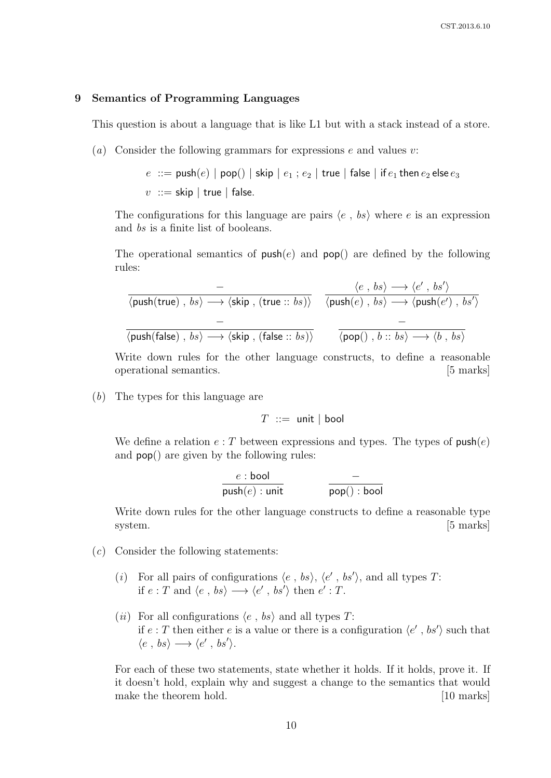#### 9 Semantics of Programming Languages

This question is about a language that is like L1 but with a stack instead of a store.

(a) Consider the following grammars for expressions  $e$  and values  $v$ :

 $e$  ::= push $(e)$  | pop $()$  | skip |  $e_1$  ;  $e_2$  | true | false | if  $e_1$  then  $e_2$  else  $e_3$  $v :=$ skip | true | false.

The configurations for this language are pairs  $\langle e, bs \rangle$  where e is an expression and bs is a finite list of booleans.

The operational semantics of  $push(e)$  and  $pop()$  are defined by the following rules:

$$
\frac{\langle e, bs \rangle \longrightarrow \langle e', bs' \rangle}{\langle \text{push}(\text{true}), bs \rangle \longrightarrow \langle \text{skip}, (\text{true}::bs) \rangle} \quad \frac{\langle e, bs \rangle \longrightarrow \langle e', bs' \rangle}{\langle \text{push}(e), bs \rangle \longrightarrow \langle \text{push}(e'), bs' \rangle}
$$
\n
$$
\frac{\langle e, bs \rangle \longrightarrow \langle e', bs' \rangle}{\langle \text{push}(\text{false}), bs \rangle \longrightarrow \langle \text{skip}, (\text{false}::bs) \rangle} \quad \frac{\langle e, bs \rangle \longrightarrow \langle e', bs' \rangle}{\langle \text{pop}(), b::bs \rangle \longrightarrow \langle b, bs \rangle}
$$

Write down rules for the other language constructs, to define a reasonable operational semantics. [5 marks]

(b) The types for this language are

$$
T \ ::= \ \mathsf{unit} \ | \ \mathsf{bool}
$$

We define a relation  $e: T$  between expressions and types. The types of  $push(e)$ and pop() are given by the following rules:

$$
\cfrac{e:\text{bool}}{\text{push}(e):\text{unit}} \qquad \qquad \cfrac{-}{\text{pop}():\text{bool}}
$$

Write down rules for the other language constructs to define a reasonable type system. [5 marks]

- $(c)$  Consider the following statements:
	- (i) For all pairs of configurations  $\langle e, bs \rangle$ ,  $\langle e', bs' \rangle$ , and all types T: if  $e: T$  and  $\langle e, bs \rangle \longrightarrow \langle e', bs' \rangle$  then  $e': T$ .
	- (*ii*) For all configurations  $\langle e, bs \rangle$  and all types T: if  $e: T$  then either e is a value or there is a configuration  $\langle e', bs' \rangle$  such that  $\langle e, bs \rangle \longrightarrow \langle e', bs' \rangle.$

For each of these two statements, state whether it holds. If it holds, prove it. If it doesn't hold, explain why and suggest a change to the semantics that would make the theorem hold. [10 marks] [10 marks]